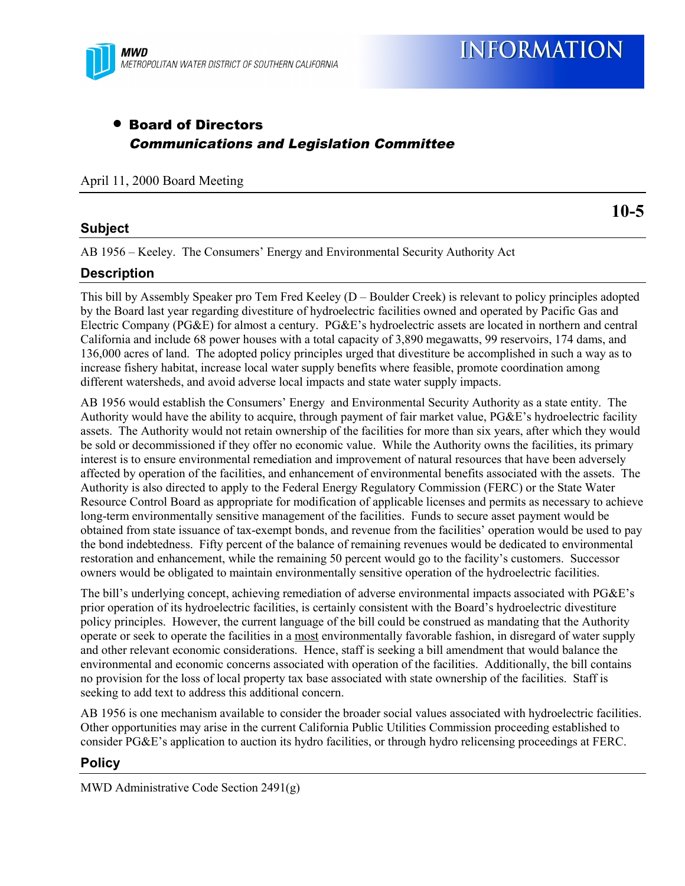

**INFORMATION** 

# • Board of Directors Communications and Legislation Committee

April 11, 2000 Board Meeting

### **Subject**

**10-5**

AB 1956 – Keeley. The Consumers' Energy and Environmental Security Authority Act

### **Description**

This bill by Assembly Speaker pro Tem Fred Keeley (D – Boulder Creek) is relevant to policy principles adopted by the Board last year regarding divestiture of hydroelectric facilities owned and operated by Pacific Gas and Electric Company (PG&E) for almost a century. PG&E's hydroelectric assets are located in northern and central California and include 68 power houses with a total capacity of 3,890 megawatts, 99 reservoirs, 174 dams, and 136,000 acres of land. The adopted policy principles urged that divestiture be accomplished in such a way as to increase fishery habitat, increase local water supply benefits where feasible, promote coordination among different watersheds, and avoid adverse local impacts and state water supply impacts.

AB 1956 would establish the Consumers' Energy and Environmental Security Authority as a state entity. The Authority would have the ability to acquire, through payment of fair market value, PG&E's hydroelectric facility assets. The Authority would not retain ownership of the facilities for more than six years, after which they would be sold or decommissioned if they offer no economic value. While the Authority owns the facilities, its primary interest is to ensure environmental remediation and improvement of natural resources that have been adversely affected by operation of the facilities, and enhancement of environmental benefits associated with the assets. The Authority is also directed to apply to the Federal Energy Regulatory Commission (FERC) or the State Water Resource Control Board as appropriate for modification of applicable licenses and permits as necessary to achieve long-term environmentally sensitive management of the facilities. Funds to secure asset payment would be obtained from state issuance of tax-exempt bonds, and revenue from the facilities' operation would be used to pay the bond indebtedness. Fifty percent of the balance of remaining revenues would be dedicated to environmental restoration and enhancement, while the remaining 50 percent would go to the facility's customers. Successor owners would be obligated to maintain environmentally sensitive operation of the hydroelectric facilities.

The bill's underlying concept, achieving remediation of adverse environmental impacts associated with PG&E's prior operation of its hydroelectric facilities, is certainly consistent with the Board's hydroelectric divestiture policy principles. However, the current language of the bill could be construed as mandating that the Authority operate or seek to operate the facilities in a most environmentally favorable fashion, in disregard of water supply and other relevant economic considerations. Hence, staff is seeking a bill amendment that would balance the environmental and economic concerns associated with operation of the facilities. Additionally, the bill contains no provision for the loss of local property tax base associated with state ownership of the facilities. Staff is seeking to add text to address this additional concern.

AB 1956 is one mechanism available to consider the broader social values associated with hydroelectric facilities. Other opportunities may arise in the current California Public Utilities Commission proceeding established to consider PG&E's application to auction its hydro facilities, or through hydro relicensing proceedings at FERC.

#### **Policy**

MWD Administrative Code Section 2491(g)